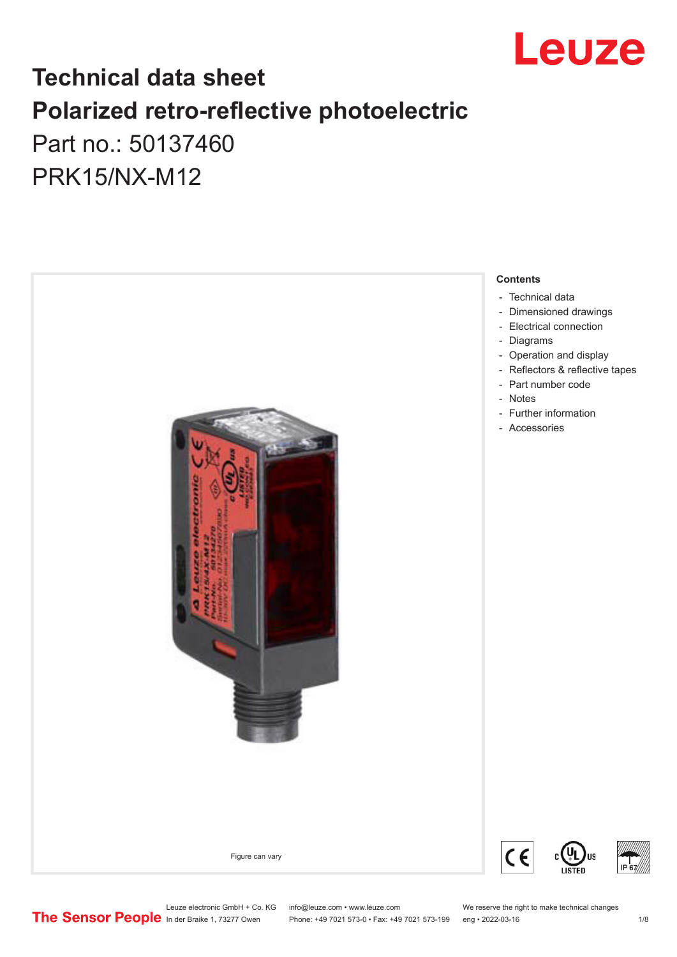

## **Technical data sheet Polarized retro-reflective photoelectric**  Part no.: 50137460

PRK15/NX-M12



Leuze electronic GmbH + Co. KG info@leuze.com • www.leuze.com We reserve the right to make technical changes<br>
The Sensor People in der Braike 1, 73277 Owen Phone: +49 7021 573-0 • Fax: +49 7021 573-199 eng • 2022-03-16

Phone: +49 7021 573-0 • Fax: +49 7021 573-199 eng • 2022-03-16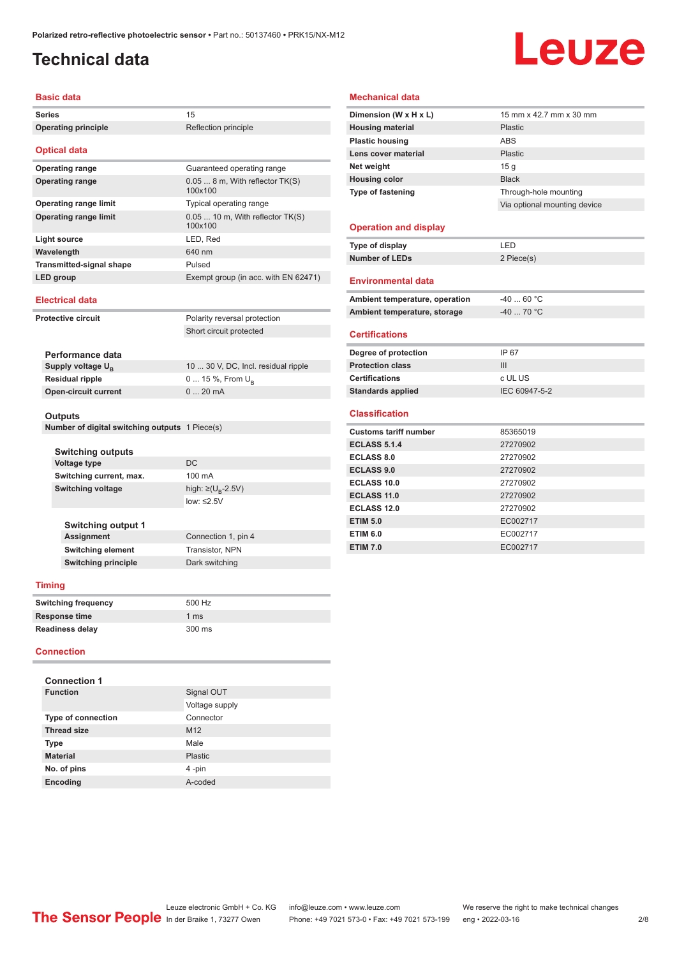## <span id="page-1-0"></span>**Technical data**

# Leuze

#### **Basic data**

|        | <b>Dasic data</b>                              |                                              |  |
|--------|------------------------------------------------|----------------------------------------------|--|
| Series |                                                | 15                                           |  |
|        | <b>Operating principle</b>                     | Reflection principle                         |  |
|        | <b>Optical data</b>                            |                                              |  |
|        | <b>Operating range</b>                         | Guaranteed operating range                   |  |
|        | <b>Operating range</b>                         | $0.058$ m, With reflector $TK(S)$<br>100x100 |  |
|        | <b>Operating range limit</b>                   | Typical operating range                      |  |
|        | <b>Operating range limit</b>                   | $0.0510$ m, With reflector TK(S)<br>100x100  |  |
|        | <b>Light source</b>                            | LED, Red                                     |  |
|        | Wavelength                                     | 640 nm                                       |  |
|        | <b>Transmitted-signal shape</b>                | Pulsed                                       |  |
|        | LED group                                      | Exempt group (in acc. with EN 62471)         |  |
|        | <b>Electrical data</b>                         |                                              |  |
|        | <b>Protective circuit</b>                      | Polarity reversal protection                 |  |
|        |                                                | Short circuit protected                      |  |
|        |                                                |                                              |  |
|        | Performance data                               |                                              |  |
|        | Supply voltage $U_{B}$                         | 10  30 V, DC, Incl. residual ripple          |  |
|        | <b>Residual ripple</b>                         | 0  15 %, From $U_{\rm B}$                    |  |
|        | <b>Open-circuit current</b>                    | $020$ mA                                     |  |
|        | Outputs                                        |                                              |  |
|        | Number of digital switching outputs 1 Piece(s) |                                              |  |
|        |                                                |                                              |  |
|        | <b>Switching outputs</b>                       |                                              |  |
|        | <b>Voltage type</b>                            | DC                                           |  |
|        | Switching current, max.                        | 100 mA                                       |  |
|        | <b>Switching voltage</b>                       | high: ≥( $U_p$ -2.5V)                        |  |
|        |                                                | low: $\leq$ 2.5V                             |  |
|        | <b>Switching output 1</b>                      |                                              |  |
|        | <b>Assignment</b>                              | Connection 1, pin 4                          |  |
|        | <b>Switching element</b>                       | Transistor, NPN                              |  |
|        | <b>Switching principle</b>                     | Dark switching                               |  |
|        | <b>Timing</b>                                  |                                              |  |
|        | <b>Switching frequency</b>                     | 500 Hz                                       |  |
|        | <b>Response time</b>                           | 1 <sub>ms</sub>                              |  |
|        | Readiness delay                                | 300 ms                                       |  |
|        | <b>Connection</b>                              |                                              |  |
|        |                                                |                                              |  |
|        | <b>Connection 1</b>                            |                                              |  |
|        | <b>Function</b>                                | Signal OUT                                   |  |
|        |                                                | Voltage supply                               |  |
|        | Type of connection                             | Connector                                    |  |
|        | <b>Thread size</b>                             | M12                                          |  |
|        | Type                                           | Male                                         |  |

**Material** Plastic **No. of pins** 4 -pin **Encoding** A-coded

#### **Mechanical data**

| Dimension (W x H x L)          | 15 mm x 42.7 mm x 30 mm      |
|--------------------------------|------------------------------|
| <b>Housing material</b>        | Plastic                      |
| <b>Plastic housing</b>         | <b>ABS</b>                   |
| Lens cover material            | Plastic                      |
| Net weight                     | 15 <sub>g</sub>              |
| <b>Housing color</b>           | <b>Black</b>                 |
| Type of fastening              | Through-hole mounting        |
|                                | Via optional mounting device |
|                                |                              |
| <b>Operation and display</b>   |                              |
| Type of display                | LED                          |
| <b>Number of LEDs</b>          | 2 Piece(s)                   |
|                                |                              |
| <b>Environmental data</b>      |                              |
| Ambient temperature, operation | $-4060 °C$                   |
| Ambient temperature, storage   | $-40$ 70 °C                  |
|                                |                              |
| <b>Certifications</b>          |                              |
| Degree of protection           | IP 67                        |
| <b>Protection class</b>        | III                          |
| <b>Certifications</b>          | c UL US                      |
| <b>Standards applied</b>       | IEC 60947-5-2                |
|                                |                              |
| <b>Classification</b>          |                              |
| <b>Customs tariff number</b>   | 85365019                     |
| <b>ECLASS 5.1.4</b>            | 27270902                     |
| <b>ECLASS 8.0</b>              | 27270902                     |
| <b>ECLASS 9.0</b>              | 27270902                     |
| ECLASS 10.0                    | 27270902                     |
| <b>ECLASS 11.0</b>             | 27270902                     |
| <b>ECLASS 12.0</b>             | 27270902                     |
| <b>ETIM 5.0</b>                | EC002717                     |
| <b>ETIM 6.0</b>                | EC002717                     |
| <b>ETIM 7.0</b>                | EC002717                     |

Leuze electronic GmbH + Co. KG info@leuze.com • www.leuze.com We reserve the right to make technical changes ln der Braike 1, 73277 Owen Phone: +49 7021 573-0 • Fax: +49 7021 573-199 eng • 2022-03-16 2/8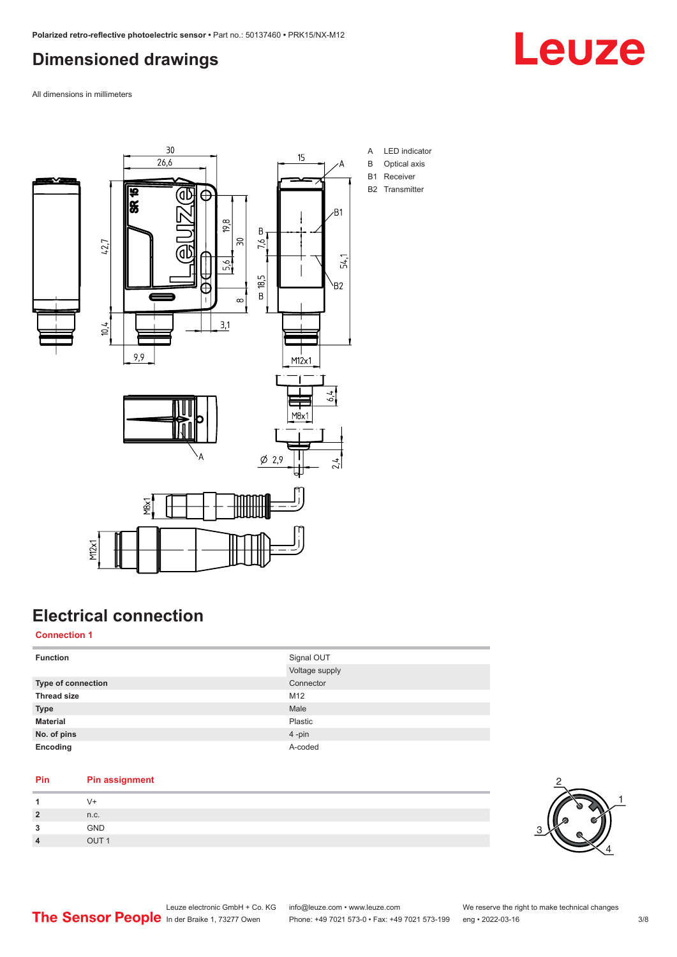### <span id="page-2-0"></span>**Dimensioned drawings**



All dimensions in millimeters



## **Electrical connection**

### **Connection 1**

| <b>Function</b>    | Signal OUT     |
|--------------------|----------------|
|                    | Voltage supply |
| Type of connection | Connector      |
| <b>Thread size</b> | M12            |
| <b>Type</b>        | Male           |
| <b>Material</b>    | Plastic        |
| No. of pins        | 4-pin          |
| Encoding           | A-coded        |

### **Pin Pin assignment**

|             | . .                  |
|-------------|----------------------|
| n           | n.c.                 |
| っ<br>$\sim$ | GND                  |
| л           | $O$ LIT <sub>1</sub> |

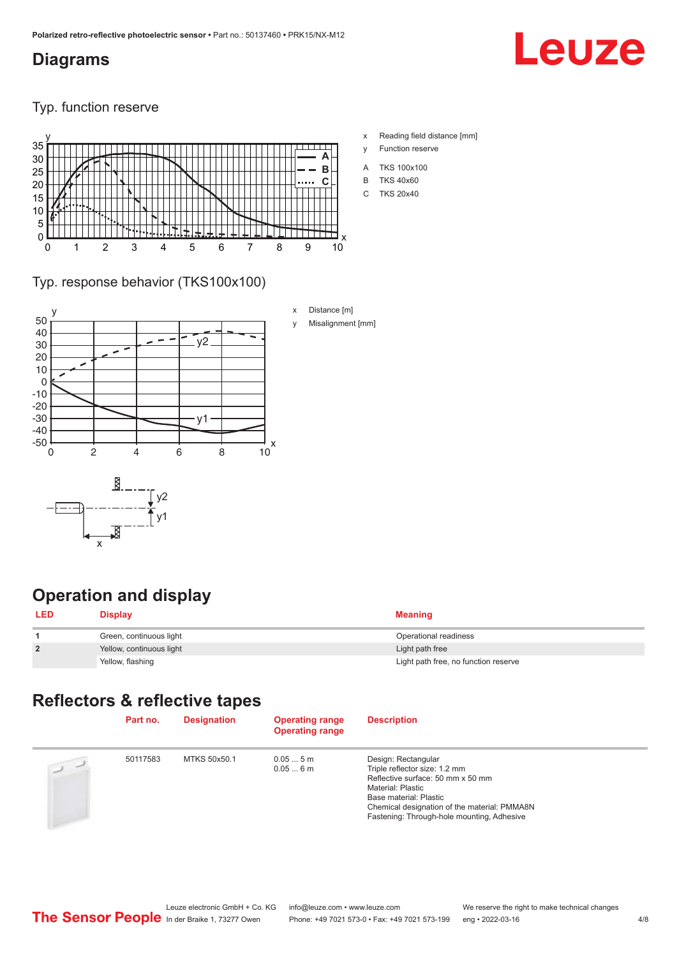### <span id="page-3-0"></span>**Diagrams**



Typ. function reserve



- x Reading field distance [mm]
- y Function reserve
- A TKS 100x100
- B TKS 40x60
- C TKS 20x40

### Typ. response behavior (TKS100x100)



### **Operation and display**

| <b>LED</b>     | <b>Display</b>           | <b>Meaning</b>                       |
|----------------|--------------------------|--------------------------------------|
|                | Green, continuous light  | Operational readiness                |
| $\overline{2}$ | Yellow, continuous light | Light path free                      |
|                | Yellow, flashing         | Light path free, no function reserve |

### **Reflectors & reflective tapes**

|                | Part no. | <b>Designation</b> | <b>Operating range</b><br><b>Operating range</b> | <b>Description</b>                                                                                                                                                                                                                     |
|----------------|----------|--------------------|--------------------------------------------------|----------------------------------------------------------------------------------------------------------------------------------------------------------------------------------------------------------------------------------------|
| $\overline{2}$ | 50117583 | MTKS 50x50.1       | 0.055m<br>0.056m                                 | Design: Rectangular<br>Triple reflector size: 1.2 mm<br>Reflective surface: 50 mm x 50 mm<br>Material: Plastic<br>Base material: Plastic<br>Chemical designation of the material: PMMA8N<br>Fastening: Through-hole mounting, Adhesive |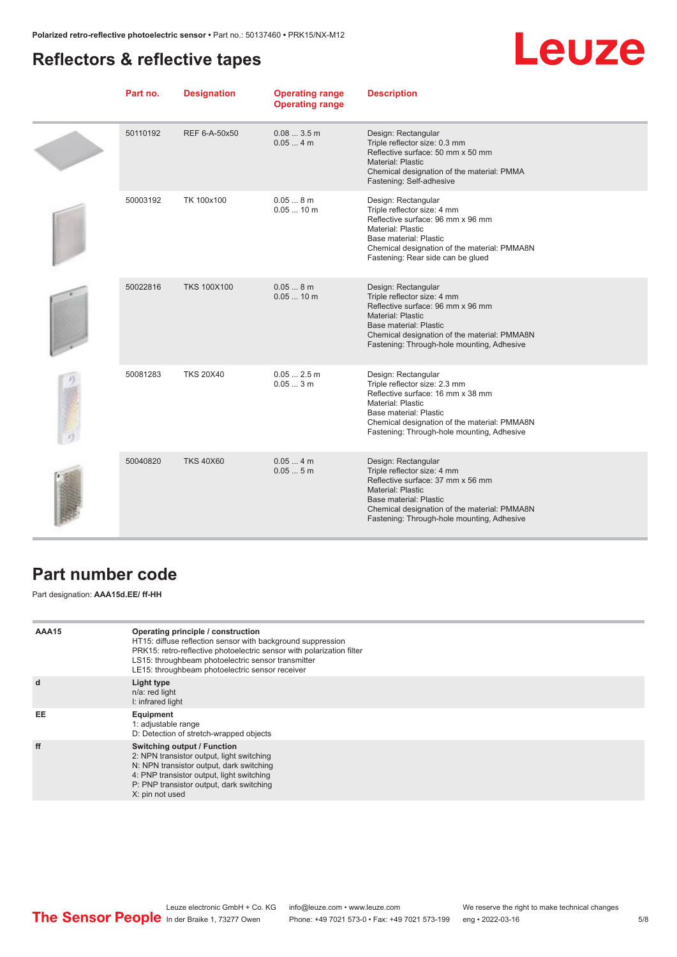### <span id="page-4-0"></span>**Reflectors & reflective tapes**

## Leuze

| Part no. | <b>Designation</b> | <b>Operating range</b><br><b>Operating range</b> | <b>Description</b>                                                                                                                                                                                                                          |
|----------|--------------------|--------------------------------------------------|---------------------------------------------------------------------------------------------------------------------------------------------------------------------------------------------------------------------------------------------|
| 50110192 | REF 6-A-50x50      | 0.083.5m<br>0.054m                               | Design: Rectangular<br>Triple reflector size: 0.3 mm<br>Reflective surface: 50 mm x 50 mm<br><b>Material: Plastic</b><br>Chemical designation of the material: PMMA<br>Fastening: Self-adhesive                                             |
| 50003192 | TK 100x100         | 0.058m<br>$0.0510$ m                             | Design: Rectangular<br>Triple reflector size: 4 mm<br>Reflective surface: 96 mm x 96 mm<br>Material: Plastic<br>Base material: Plastic<br>Chemical designation of the material: PMMA8N<br>Fastening: Rear side can be glued                 |
| 50022816 | <b>TKS 100X100</b> | 0.058m<br>$0.0510$ m                             | Design: Rectangular<br>Triple reflector size: 4 mm<br>Reflective surface: 96 mm x 96 mm<br><b>Material: Plastic</b><br>Base material: Plastic<br>Chemical designation of the material: PMMA8N<br>Fastening: Through-hole mounting, Adhesive |
| 50081283 | <b>TKS 20X40</b>   | $0.052.5$ m<br>0.053m                            | Design: Rectangular<br>Triple reflector size: 2.3 mm<br>Reflective surface: 16 mm x 38 mm<br>Material: Plastic<br>Base material: Plastic<br>Chemical designation of the material: PMMA8N<br>Fastening: Through-hole mounting, Adhesive      |
| 50040820 | <b>TKS 40X60</b>   | 0.054m<br>0.055m                                 | Design: Rectangular<br>Triple reflector size: 4 mm<br>Reflective surface: 37 mm x 56 mm<br><b>Material: Plastic</b><br>Base material: Plastic<br>Chemical designation of the material: PMMA8N<br>Fastening: Through-hole mounting, Adhesive |

### **Part number code**

Part designation: **AAA15d.EE/ ff-HH**

| AAA15 | Operating principle / construction<br>HT15: diffuse reflection sensor with background suppression<br>PRK15: retro-reflective photoelectric sensor with polarization filter<br>LS15: throughbeam photoelectric sensor transmitter<br>LE15: throughbeam photoelectric sensor receiver |
|-------|-------------------------------------------------------------------------------------------------------------------------------------------------------------------------------------------------------------------------------------------------------------------------------------|
| d     | Light type<br>n/a: red light<br>I: infrared light                                                                                                                                                                                                                                   |
| EE    | Equipment<br>1: adjustable range<br>D: Detection of stretch-wrapped objects                                                                                                                                                                                                         |
| ff    | Switching output / Function<br>2: NPN transistor output, light switching<br>N: NPN transistor output, dark switching<br>4: PNP transistor output, light switching<br>P: PNP transistor output, dark switching<br>X: pin not used                                                    |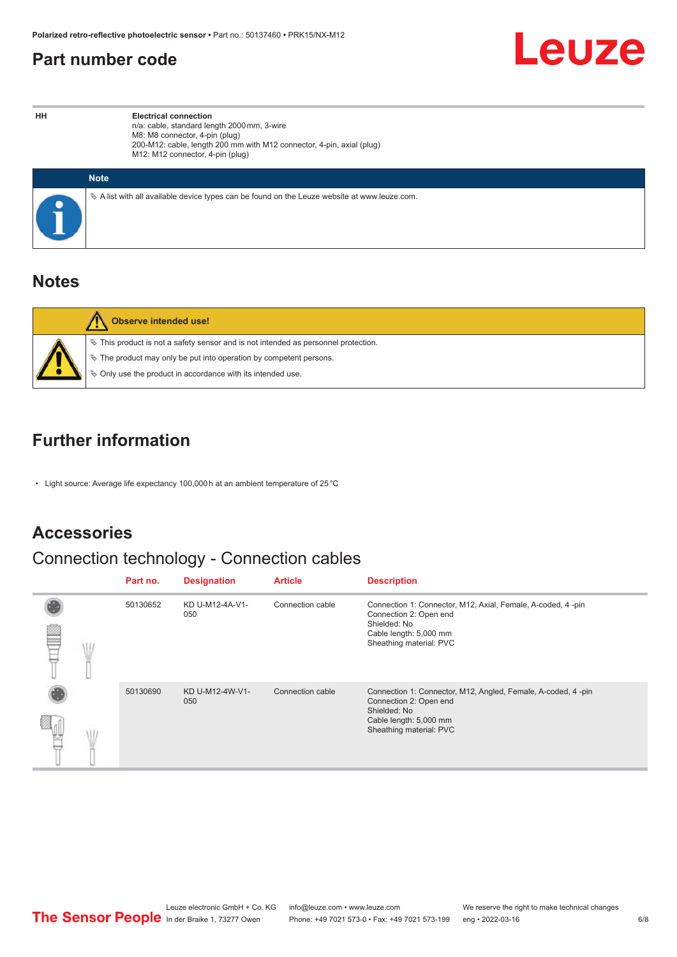### <span id="page-5-0"></span>**Part number code**



**HH Electrical connection** n/a: cable, standard length 2000 mm, 3-wire M8: M8 connector, 4-pin (plug) 200-M12: cable, length 200 mm with M12 connector, 4-pin, axial (plug) M12: M12 connector, 4-pin (plug)

| <b>Note</b>                                                                                     |
|-------------------------------------------------------------------------------------------------|
| $\&$ A list with all available device types can be found on the Leuze website at www.leuze.com. |

### **Notes**

| Observe intended use!                                                                                                                                                                                                         |
|-------------------------------------------------------------------------------------------------------------------------------------------------------------------------------------------------------------------------------|
| $\%$ This product is not a safety sensor and is not intended as personnel protection.<br>₹ The product may only be put into operation by competent persons.<br>$\%$ Only use the product in accordance with its intended use. |

### **Further information**

• Light source: Average life expectancy 100,000 h at an ambient temperature of 25 °C

### **Accessories**

## Connection technology - Connection cables

|  | Part no. | <b>Designation</b>     | <b>Article</b>   | <b>Description</b>                                                                                                                                          |
|--|----------|------------------------|------------------|-------------------------------------------------------------------------------------------------------------------------------------------------------------|
|  | 50130652 | KD U-M12-4A-V1-<br>050 | Connection cable | Connection 1: Connector, M12, Axial, Female, A-coded, 4-pin<br>Connection 2: Open end<br>Shielded: No<br>Cable length: 5,000 mm<br>Sheathing material: PVC  |
|  | 50130690 | KD U-M12-4W-V1-<br>050 | Connection cable | Connection 1: Connector, M12, Angled, Female, A-coded, 4-pin<br>Connection 2: Open end<br>Shielded: No<br>Cable length: 5,000 mm<br>Sheathing material: PVC |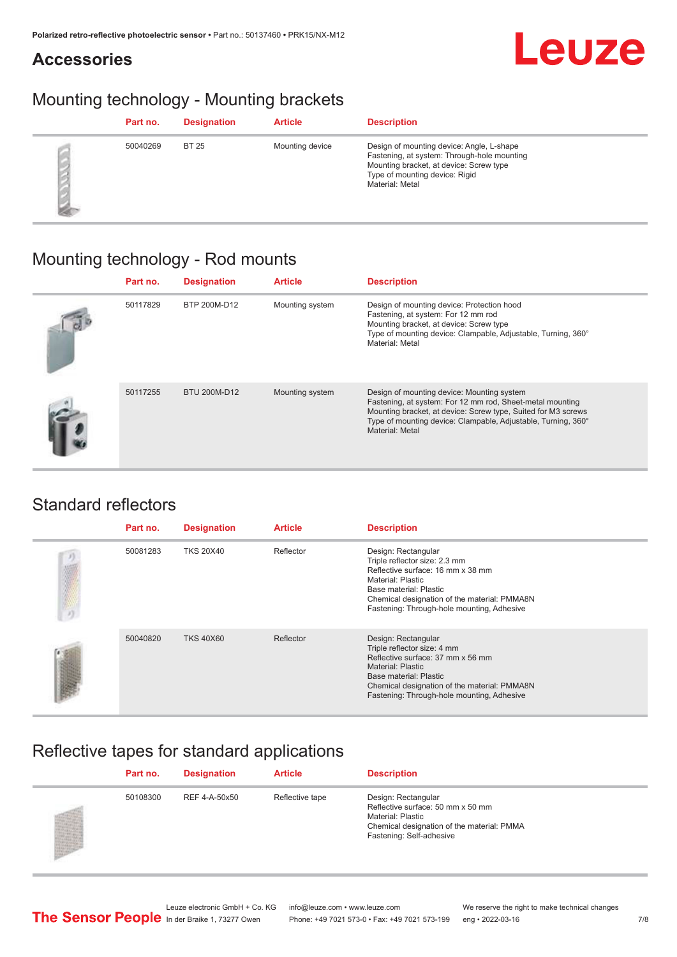### **Accessories**



### Mounting technology - Mounting brackets

| Part no. | <b>Designation</b> | <b>Article</b>  | <b>Description</b>                                                                                                                                                                       |
|----------|--------------------|-----------------|------------------------------------------------------------------------------------------------------------------------------------------------------------------------------------------|
| 50040269 | <b>BT 25</b>       | Mounting device | Design of mounting device: Angle, L-shape<br>Fastening, at system: Through-hole mounting<br>Mounting bracket, at device: Screw type<br>Type of mounting device: Rigid<br>Material: Metal |

### Mounting technology - Rod mounts

| Part no. | <b>Designation</b> | <b>Article</b>  | <b>Description</b>                                                                                                                                                                                                                                           |
|----------|--------------------|-----------------|--------------------------------------------------------------------------------------------------------------------------------------------------------------------------------------------------------------------------------------------------------------|
| 50117829 | BTP 200M-D12       | Mounting system | Design of mounting device: Protection hood<br>Fastening, at system: For 12 mm rod<br>Mounting bracket, at device: Screw type<br>Type of mounting device: Clampable, Adjustable, Turning, 360°<br>Material: Metal                                             |
| 50117255 | BTU 200M-D12       | Mounting system | Design of mounting device: Mounting system<br>Fastening, at system: For 12 mm rod, Sheet-metal mounting<br>Mounting bracket, at device: Screw type, Suited for M3 screws<br>Type of mounting device: Clampable, Adjustable, Turning, 360°<br>Material: Metal |

### Standard reflectors

| Part no. | <b>Designation</b> | <b>Article</b> | <b>Description</b>                                                                                                                                                                                                                     |
|----------|--------------------|----------------|----------------------------------------------------------------------------------------------------------------------------------------------------------------------------------------------------------------------------------------|
| 50081283 | <b>TKS 20X40</b>   | Reflector      | Design: Rectangular<br>Triple reflector size: 2.3 mm<br>Reflective surface: 16 mm x 38 mm<br>Material: Plastic<br>Base material: Plastic<br>Chemical designation of the material: PMMA8N<br>Fastening: Through-hole mounting, Adhesive |
| 50040820 | <b>TKS 40X60</b>   | Reflector      | Design: Rectangular<br>Triple reflector size: 4 mm<br>Reflective surface: 37 mm x 56 mm<br>Material: Plastic<br>Base material: Plastic<br>Chemical designation of the material: PMMA8N<br>Fastening: Through-hole mounting, Adhesive   |

### Reflective tapes for standard applications

| Part no. | <b>Designation</b> | <b>Article</b>  | <b>Description</b>                                                                                                                                      |
|----------|--------------------|-----------------|---------------------------------------------------------------------------------------------------------------------------------------------------------|
| 50108300 | REF 4-A-50x50      | Reflective tape | Design: Rectangular<br>Reflective surface: 50 mm x 50 mm<br>Material: Plastic<br>Chemical designation of the material: PMMA<br>Fastening: Self-adhesive |